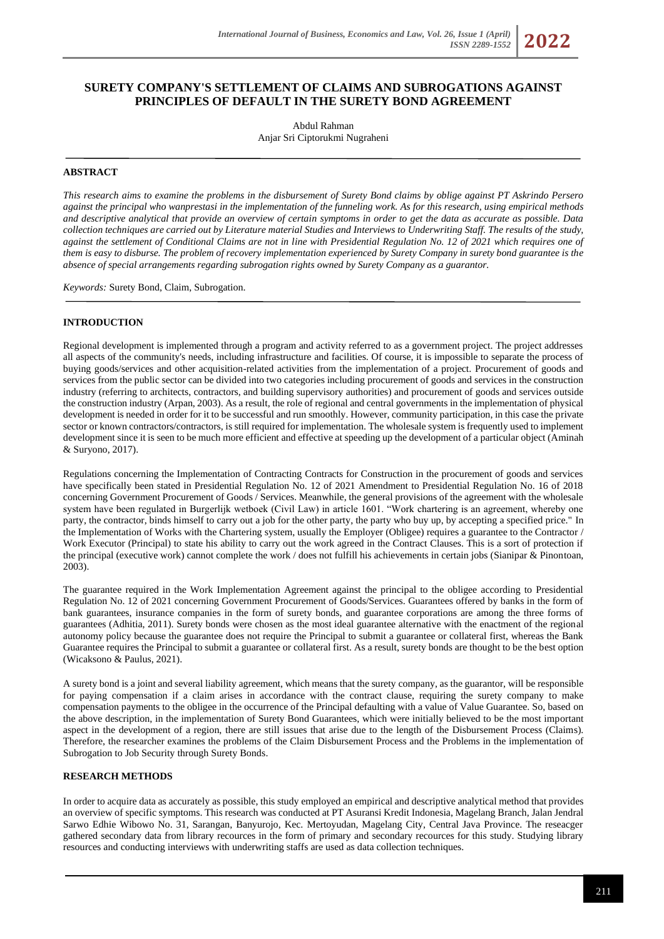# **SURETY COMPANY'S SETTLEMENT OF CLAIMS AND SUBROGATIONS AGAINST PRINCIPLES OF DEFAULT IN THE SURETY BOND AGREEMENT**

Abdul Rahman Anjar Sri Ciptorukmi Nugraheni

## **ABSTRACT**

*This research aims to examine the problems in the disbursement of Surety Bond claims by oblige against PT Askrindo Persero against the principal who wanprestasi in the implementation of the funneling work. As for this research, using empirical methods and descriptive analytical that provide an overview of certain symptoms in order to get the data as accurate as possible. Data collection techniques are carried out by Literature material Studies and Interviews to Underwriting Staff. The results of the study, against the settlement of Conditional Claims are not in line with Presidential Regulation No. 12 of 2021 which requires one of them is easy to disburse. The problem of recovery implementation experienced by Surety Company in surety bond guarantee is the absence of special arrangements regarding subrogation rights owned by Surety Company as a guarantor.*

*Keywords:* Surety Bond, Claim, Subrogation.

## **INTRODUCTION**

Regional development is implemented through a program and activity referred to as a government project. The project addresses all aspects of the community's needs, including infrastructure and facilities. Of course, it is impossible to separate the process of buying goods/services and other acquisition-related activities from the implementation of a project. Procurement of goods and services from the public sector can be divided into two categories including procurement of goods and services in the construction industry (referring to architects, contractors, and building supervisory authorities) and procurement of goods and services outside the construction industry (Arpan, 2003). As a result, the role of regional and central governments in the implementation of physical development is needed in order for it to be successful and run smoothly. However, community participation, in this case the private sector or known contractors/contractors, is still required for implementation. The wholesale system is frequently used to implement development since it is seen to be much more efficient and effective at speeding up the development of a particular object (Aminah & Suryono, 2017).

Regulations concerning the Implementation of Contracting Contracts for Construction in the procurement of goods and services have specifically been stated in Presidential Regulation No. 12 of 2021 Amendment to Presidential Regulation No. 16 of 2018 concerning Government Procurement of Goods / Services. Meanwhile, the general provisions of the agreement with the wholesale system have been regulated in Burgerlijk wetboek (Civil Law) in article 1601. "Work chartering is an agreement, whereby one party, the contractor, binds himself to carry out a job for the other party, the party who buy up, by accepting a specified price." In the Implementation of Works with the Chartering system, usually the Employer (Obligee) requires a guarantee to the Contractor / Work Executor (Principal) to state his ability to carry out the work agreed in the Contract Clauses. This is a sort of protection if the principal (executive work) cannot complete the work / does not fulfill his achievements in certain jobs (Sianipar & Pinontoan, 2003).

The guarantee required in the Work Implementation Agreement against the principal to the obligee according to Presidential Regulation No. 12 of 2021 concerning Government Procurement of Goods/Services. Guarantees offered by banks in the form of bank guarantees, insurance companies in the form of surety bonds, and guarantee corporations are among the three forms of guarantees (Adhitia, 2011). Surety bonds were chosen as the most ideal guarantee alternative with the enactment of the regional autonomy policy because the guarantee does not require the Principal to submit a guarantee or collateral first, whereas the Bank Guarantee requires the Principal to submit a guarantee or collateral first. As a result, surety bonds are thought to be the best option (Wicaksono & Paulus, 2021).

A surety bond is a joint and several liability agreement, which means that the surety company, as the guarantor, will be responsible for paying compensation if a claim arises in accordance with the contract clause, requiring the surety company to make compensation payments to the obligee in the occurrence of the Principal defaulting with a value of Value Guarantee. So, based on the above description, in the implementation of Surety Bond Guarantees, which were initially believed to be the most important aspect in the development of a region, there are still issues that arise due to the length of the Disbursement Process (Claims). Therefore, the researcher examines the problems of the Claim Disbursement Process and the Problems in the implementation of Subrogation to Job Security through Surety Bonds.

## **RESEARCH METHODS**

In order to acquire data as accurately as possible, this study employed an empirical and descriptive analytical method that provides an overview of specific symptoms. This research was conducted at PT Asuransi Kredit Indonesia, Magelang Branch, Jalan Jendral Sarwo Edhie Wibowo No. 31, Sarangan, Banyurojo, Kec. Mertoyudan, Magelang City, Central Java Province. The reseacger gathered secondary data from library recources in the form of primary and secondary recources for this study. Studying library resources and conducting interviews with underwriting staffs are used as data collection techniques.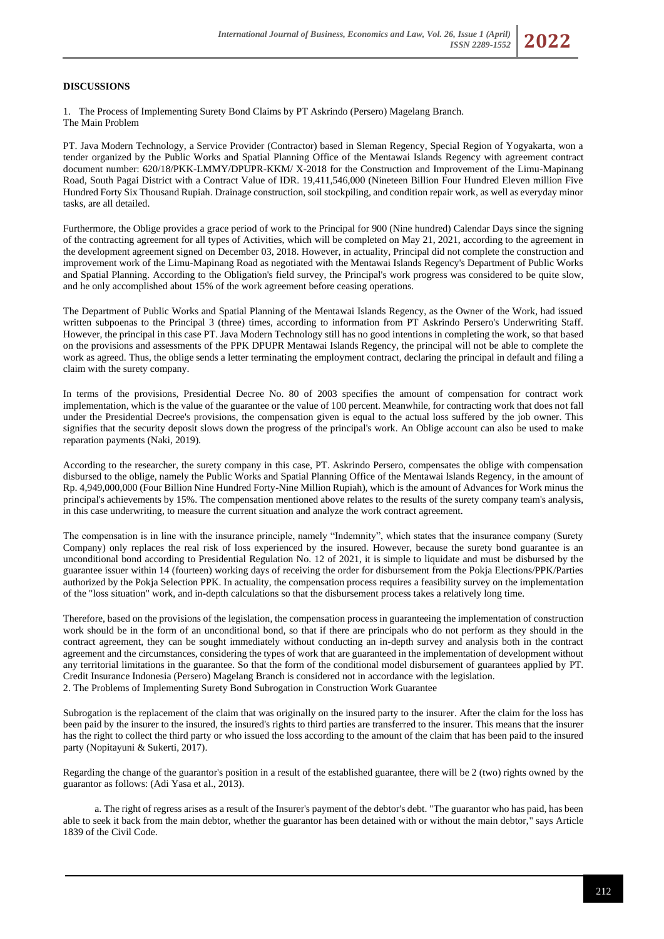## **DISCUSSIONS**

1. The Process of Implementing Surety Bond Claims by PT Askrindo (Persero) Magelang Branch. The Main Problem

PT. Java Modern Technology, a Service Provider (Contractor) based in Sleman Regency, Special Region of Yogyakarta, won a tender organized by the Public Works and Spatial Planning Office of the Mentawai Islands Regency with agreement contract document number: 620/18/PKK-LMMY/DPUPR-KKM/ X-2018 for the Construction and Improvement of the Limu-Mapinang Road, South Pagai District with a Contract Value of IDR. 19,411,546,000 (Nineteen Billion Four Hundred Eleven million Five Hundred Forty Six Thousand Rupiah. Drainage construction, soil stockpiling, and condition repair work, as well as everyday minor tasks, are all detailed.

Furthermore, the Oblige provides a grace period of work to the Principal for 900 (Nine hundred) Calendar Days since the signing of the contracting agreement for all types of Activities, which will be completed on May 21, 2021, according to the agreement in the development agreement signed on December 03, 2018. However, in actuality, Principal did not complete the construction and improvement work of the Limu-Mapinang Road as negotiated with the Mentawai Islands Regency's Department of Public Works and Spatial Planning. According to the Obligation's field survey, the Principal's work progress was considered to be quite slow, and he only accomplished about 15% of the work agreement before ceasing operations.

The Department of Public Works and Spatial Planning of the Mentawai Islands Regency, as the Owner of the Work, had issued written subpoenas to the Principal 3 (three) times, according to information from PT Askrindo Persero's Underwriting Staff. However, the principal in this case PT. Java Modern Technology still has no good intentions in completing the work, so that based on the provisions and assessments of the PPK DPUPR Mentawai Islands Regency, the principal will not be able to complete the work as agreed. Thus, the oblige sends a letter terminating the employment contract, declaring the principal in default and filing a claim with the surety company.

In terms of the provisions, Presidential Decree No. 80 of 2003 specifies the amount of compensation for contract work implementation, which is the value of the guarantee or the value of 100 percent. Meanwhile, for contracting work that does not fall under the Presidential Decree's provisions, the compensation given is equal to the actual loss suffered by the job owner. This signifies that the security deposit slows down the progress of the principal's work. An Oblige account can also be used to make reparation payments (Naki, 2019).

According to the researcher, the surety company in this case, PT. Askrindo Persero, compensates the oblige with compensation disbursed to the oblige, namely the Public Works and Spatial Planning Office of the Mentawai Islands Regency, in the amount of Rp. 4,949,000,000 (Four Billion Nine Hundred Forty-Nine Million Rupiah), which is the amount of Advances for Work minus the principal's achievements by 15%. The compensation mentioned above relates to the results of the surety company team's analysis, in this case underwriting, to measure the current situation and analyze the work contract agreement.

The compensation is in line with the insurance principle, namely "Indemnity", which states that the insurance company (Surety Company) only replaces the real risk of loss experienced by the insured. However, because the surety bond guarantee is an unconditional bond according to Presidential Regulation No. 12 of 2021, it is simple to liquidate and must be disbursed by the guarantee issuer within 14 (fourteen) working days of receiving the order for disbursement from the Pokja Elections/PPK/Parties authorized by the Pokja Selection PPK. In actuality, the compensation process requires a feasibility survey on the implementation of the "loss situation" work, and in-depth calculations so that the disbursement process takes a relatively long time.

Therefore, based on the provisions of the legislation, the compensation process in guaranteeing the implementation of construction work should be in the form of an unconditional bond, so that if there are principals who do not perform as they should in the contract agreement, they can be sought immediately without conducting an in-depth survey and analysis both in the contract agreement and the circumstances, considering the types of work that are guaranteed in the implementation of development without any territorial limitations in the guarantee. So that the form of the conditional model disbursement of guarantees applied by PT. Credit Insurance Indonesia (Persero) Magelang Branch is considered not in accordance with the legislation. 2. The Problems of Implementing Surety Bond Subrogation in Construction Work Guarantee

Subrogation is the replacement of the claim that was originally on the insured party to the insurer. After the claim for the loss has been paid by the insurer to the insured, the insured's rights to third parties are transferred to the insurer. This means that the insurer has the right to collect the third party or who issued the loss according to the amount of the claim that has been paid to the insured party (Nopitayuni & Sukerti, 2017).

Regarding the change of the guarantor's position in a result of the established guarantee, there will be 2 (two) rights owned by the guarantor as follows: (Adi Yasa et al., 2013).

a. The right of regress arises as a result of the Insurer's payment of the debtor's debt. "The guarantor who has paid, has been able to seek it back from the main debtor, whether the guarantor has been detained with or without the main debtor," says Article 1839 of the Civil Code.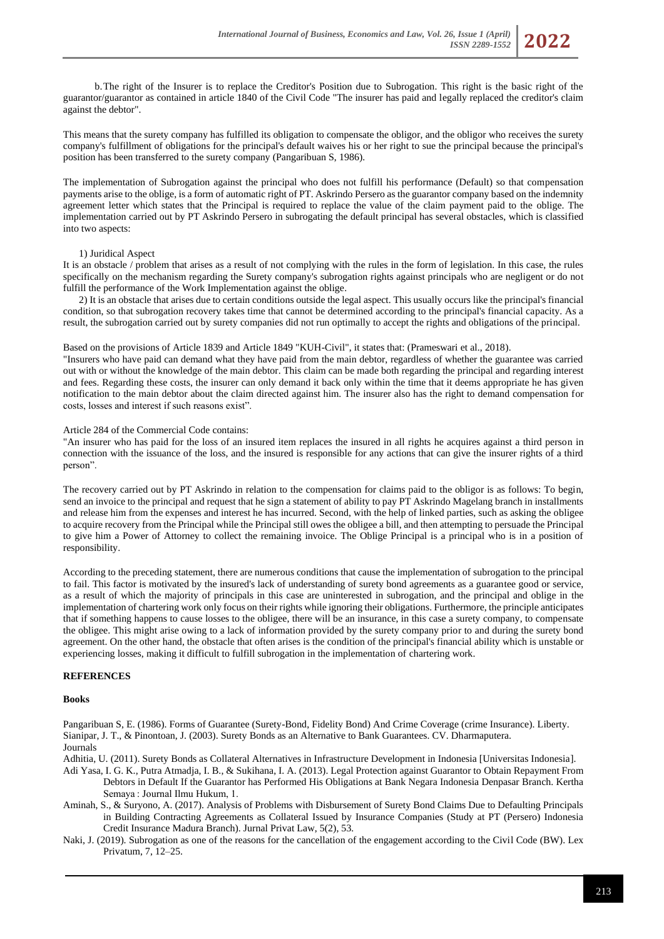

This means that the surety company has fulfilled its obligation to compensate the obligor, and the obligor who receives the surety company's fulfillment of obligations for the principal's default waives his or her right to sue the principal because the principal's position has been transferred to the surety company (Pangaribuan S, 1986).

The implementation of Subrogation against the principal who does not fulfill his performance (Default) so that compensation payments arise to the oblige, is a form of automatic right of PT. Askrindo Persero as the guarantor company based on the indemnity agreement letter which states that the Principal is required to replace the value of the claim payment paid to the oblige. The implementation carried out by PT Askrindo Persero in subrogating the default principal has several obstacles, which is classified into two aspects:

#### 1) Juridical Aspect

It is an obstacle / problem that arises as a result of not complying with the rules in the form of legislation. In this case, the rules specifically on the mechanism regarding the Surety company's subrogation rights against principals who are negligent or do not fulfill the performance of the Work Implementation against the oblige.

2) It is an obstacle that arises due to certain conditions outside the legal aspect. This usually occurs like the principal's financial condition, so that subrogation recovery takes time that cannot be determined according to the principal's financial capacity. As a result, the subrogation carried out by surety companies did not run optimally to accept the rights and obligations of the principal.

Based on the provisions of Article 1839 and Article 1849 "KUH-Civil", it states that: (Prameswari et al., 2018).

"Insurers who have paid can demand what they have paid from the main debtor, regardless of whether the guarantee was carried out with or without the knowledge of the main debtor. This claim can be made both regarding the principal and regarding interest and fees. Regarding these costs, the insurer can only demand it back only within the time that it deems appropriate he has given notification to the main debtor about the claim directed against him. The insurer also has the right to demand compensation for costs, losses and interest if such reasons exist".

#### Article 284 of the Commercial Code contains:

"An insurer who has paid for the loss of an insured item replaces the insured in all rights he acquires against a third person in connection with the issuance of the loss, and the insured is responsible for any actions that can give the insurer rights of a third person".

The recovery carried out by PT Askrindo in relation to the compensation for claims paid to the obligor is as follows: To begin, send an invoice to the principal and request that he sign a statement of ability to pay PT Askrindo Magelang branch in installments and release him from the expenses and interest he has incurred. Second, with the help of linked parties, such as asking the obligee to acquire recovery from the Principal while the Principal still owes the obligee a bill, and then attempting to persuade the Principal to give him a Power of Attorney to collect the remaining invoice. The Oblige Principal is a principal who is in a position of responsibility.

According to the preceding statement, there are numerous conditions that cause the implementation of subrogation to the principal to fail. This factor is motivated by the insured's lack of understanding of surety bond agreements as a guarantee good or service, as a result of which the majority of principals in this case are uninterested in subrogation, and the principal and oblige in the implementation of chartering work only focus on their rights while ignoring their obligations. Furthermore, the principle anticipates that if something happens to cause losses to the obligee, there will be an insurance, in this case a surety company, to compensate the obligee. This might arise owing to a lack of information provided by the surety company prior to and during the surety bond agreement. On the other hand, the obstacle that often arises is the condition of the principal's financial ability which is unstable or experiencing losses, making it difficult to fulfill subrogation in the implementation of chartering work.

#### **REFERENCES**

#### **Books**

Pangaribuan S, E. (1986). Forms of Guarantee (Surety-Bond, Fidelity Bond) And Crime Coverage (crime Insurance). Liberty. Sianipar, J. T., & Pinontoan, J. (2003). Surety Bonds as an Alternative to Bank Guarantees. CV. Dharmaputera. Journals

Adhitia, U. (2011). Surety Bonds as Collateral Alternatives in Infrastructure Development in Indonesia [Universitas Indonesia].

- Adi Yasa, I. G. K., Putra Atmadja, I. B., & Sukihana, I. A. (2013). Legal Protection against Guarantor to Obtain Repayment From Debtors in Default If the Guarantor has Performed His Obligations at Bank Negara Indonesia Denpasar Branch. Kertha Semaya : Journal Ilmu Hukum, 1.
- Aminah, S., & Suryono, A. (2017). Analysis of Problems with Disbursement of Surety Bond Claims Due to Defaulting Principals in Building Contracting Agreements as Collateral Issued by Insurance Companies (Study at PT (Persero) Indonesia Credit Insurance Madura Branch). Jurnal Privat Law, 5(2), 53.
- Naki, J. (2019). Subrogation as one of the reasons for the cancellation of the engagement according to the Civil Code (BW). Lex Privatum, 7, 12–25.